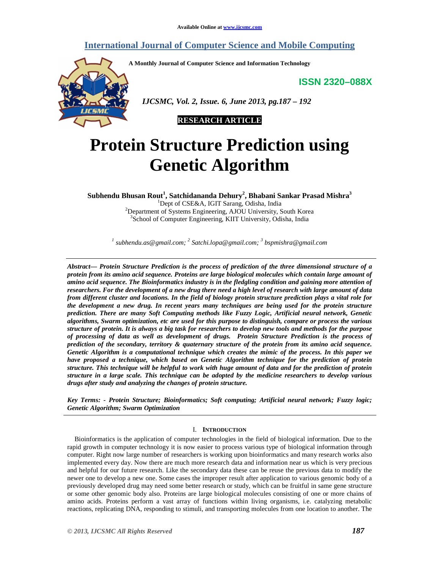# **International Journal of Computer Science and Mobile Computing**

**A Monthly Journal of Computer Science and Information Technology** 

**ISSN 2320–088X**



 *IJCSMC, Vol. 2, Issue. 6, June 2013, pg.187 – 192* 



# **Protein Structure Prediction using Genetic Algorithm**

**Subhendu Bhusan Rout<sup>1</sup> , Satchidananda Dehury<sup>2</sup> , Bhabani Sankar Prasad Mishra<sup>3</sup>** <sup>1</sup>Dept of CSE&A, IGIT Sarang, Odisha, India  $2$ Department of Systems Engineering, AJOU University, South Korea <sup>3</sup>School of Computer Engineering, KIIT University, Odisha, India

*1 subhendu.as@gmail.com; <sup>2</sup> Satchi.lopa@gmail.com; <sup>3</sup> bspmishra@gmail.com* 

*Abstract— Protein Structure Prediction is the process of prediction of the three dimensional structure of a protein from its amino acid sequence. Proteins are large biological molecules which contain large amount of amino acid sequence. The Bioinformatics industry is in the fledgling condition and gaining more attention of researchers. For the development of a new drug there need a high level of research with large amount of data from different cluster and locations. In the field of biology protein structure prediction plays a vital role for the development a new drug. In recent years many techniques are being used for the protein structure prediction. There are many Soft Computing methods like Fuzzy Logic, Artificial neural network, Genetic algorithms, Swarm optimization, etc are used for this purpose to distinguish, compare or process the various structure of protein. It is always a big task for researchers to develop new tools and methods for the purpose of processing of data as well as development of drugs. Protein Structure Prediction is the process of prediction of the secondary, territory & quaternary structure of the protein from its amino acid sequence. Genetic Algorithm is a computational technique which creates the mimic of the process. In this paper we have proposed a technique, which based on Genetic Algorithm technique for the prediction of protein structure. This technique will be helpful to work with huge amount of data and for the prediction of protein structure in a large scale. This technique can be adopted by the medicine researchers to develop various drugs after study and analyzing the changes of protein structure.* 

*Key Terms: - Protein Structure; Bioinformatics; Soft computing; Artificial neural network; Fuzzy logic; Genetic Algorithm; Swarm Optimization* 

### I. **INTRODUCTION**

Bioinformatics is the application of computer technologies in the field of biological information. Due to the rapid growth in computer technology it is now easier to process various type of biological information through computer. Right now large number of researchers is working upon bioinformatics and many research works also implemented every day. Now there are much more research data and information near us which is very precious and helpful for our future research. Like the secondary data these can be reuse the previous data to modify the newer one to develop a new one. Some cases the improper result after application to various genomic body of a previously developed drug may need some better research or study, which can be fruitful in same gene structure or some other genomic body also. Proteins are large biological molecules consisting of one or more chains of amino acids. Proteins perform a vast array of functions within living organisms, i.e. catalyzing metabolic reactions, replicating DNA, responding to stimuli, and transporting molecules from one location to another. The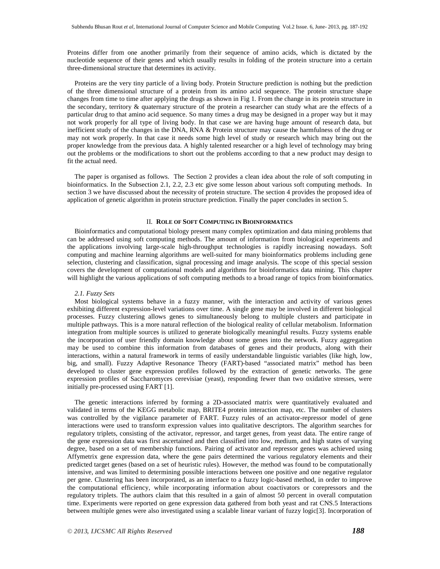Proteins differ from one another primarily from their sequence of amino acids, which is dictated by the nucleotide sequence of their genes and which usually results in folding of the protein structure into a certain three-dimensional structure that determines its activity.

Proteins are the very tiny particle of a living body. Protein Structure prediction is nothing but the prediction of the three dimensional structure of a protein from its amino acid sequence. The protein structure shape changes from time to time after applying the drugs as shown in Fig 1. From the change in its protein structure in the secondary, territory & quaternary structure of the protein a researcher can study what are the effects of a particular drug to that amino acid sequence. So many times a drug may be designed in a proper way but it may not work properly for all type of living body. In that case we are having huge amount of research data, but inefficient study of the changes in the DNA, RNA & Protein structure may cause the harmfulness of the drug or may not work properly. In that case it needs some high level of study or research which may bring out the proper knowledge from the previous data. A highly talented researcher or a high level of technology may bring out the problems or the modifications to short out the problems according to that a new product may design to fit the actual need.

The paper is organised as follows. The Section 2 provides a clean idea about the role of soft computing in bioinformatics. In the Subsection 2.1, 2.2, 2.3 etc give some lesson about various soft computing methods. In section 3 we have discussed about the necessity of protein structure. The section 4 provides the proposed idea of application of genetic algorithm in protein structure prediction. Finally the paper concludes in section 5.

#### II. **ROLE OF SOFT COMPUTING IN BIOINFORMATICS**

Bioinformatics and computational biology present many complex optimization and data mining problems that can be addressed using soft computing methods. The amount of information from biological experiments and the applications involving large-scale high-throughput technologies is rapidly increasing nowadays. Soft computing and machine learning algorithms are well-suited for many bioinformatics problems including gene selection, clustering and classification, signal processing and image analysis. The scope of this special session covers the development of computational models and algorithms for bioinformatics data mining. This chapter will highlight the various applications of soft computing methods to a broad range of topics from bioinformatics.

#### *2.1. Fuzzy Sets*

Most biological systems behave in a fuzzy manner, with the interaction and activity of various genes exhibiting different expression-level variations over time. A single gene may be involved in different biological processes. Fuzzy clustering allows genes to simultaneously belong to multiple clusters and participate in multiple pathways. This is a more natural reflection of the biological reality of cellular metabolism. Information integration from multiple sources is utilized to generate biologically meaningful results. Fuzzy systems enable the incorporation of user friendly domain knowledge about some genes into the network. Fuzzy aggregation may be used to combine this information from databases of genes and their products, along with their interactions, within a natural framework in terms of easily understandable linguistic variables (like high, low, big, and small). Fuzzy Adaptive Resonance Theory (FART)-based "associated matrix" method has been developed to cluster gene expression profiles followed by the extraction of genetic networks. The gene expression profiles of Saccharomyces cerevisiae (yeast), responding fewer than two oxidative stresses, were initially pre-processed using FART [1].

The genetic interactions inferred by forming a 2D-associated matrix were quantitatively evaluated and validated in terms of the KEGG metabolic map, BRITE4 protein interaction map, etc. The number of clusters was controlled by the vigilance parameter of FART. Fuzzy rules of an activator-repressor model of gene interactions were used to transform expression values into qualitative descriptors. The algorithm searches for regulatory triplets, consisting of the activator, repressor, and target genes, from yeast data. The entire range of the gene expression data was first ascertained and then classified into low, medium, and high states of varying degree, based on a set of membership functions. Pairing of activator and repressor genes was achieved using Affymetrix gene expression data, where the gene pairs determined the various regulatory elements and their predicted target genes (based on a set of heuristic rules). However, the method was found to be computationally intensive, and was limited to determining possible interactions between one positive and one negative regulator per gene. Clustering has been incorporated, as an interface to a fuzzy logic-based method, in order to improve the computational efficiency, while incorporating information about coactivators or corepressors and the regulatory triplets. The authors claim that this resulted in a gain of almost 50 percent in overall computation time. Experiments were reported on gene expression data gathered from both yeast and rat CNS.5 Interactions between multiple genes were also investigated using a scalable linear variant of fuzzy logic[3]. Incorporation of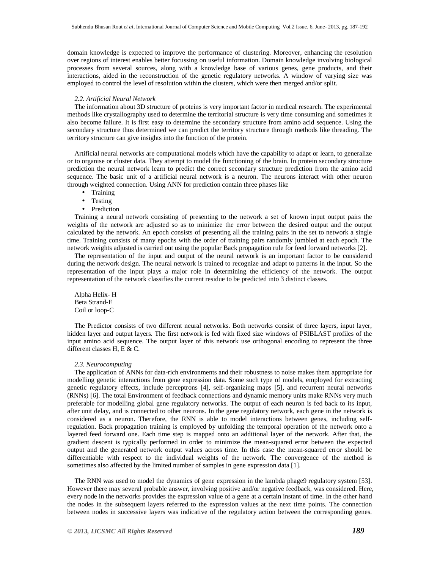domain knowledge is expected to improve the performance of clustering. Moreover, enhancing the resolution over regions of interest enables better focussing on useful information. Domain knowledge involving biological processes from several sources, along with a knowledge base of various genes, gene products, and their interactions, aided in the reconstruction of the genetic regulatory networks. A window of varying size was employed to control the level of resolution within the clusters, which were then merged and/or split.

#### *2.2. Artificial Neural Network*

The information about 3D structure of proteins is very important factor in medical research. The experimental methods like crystallography used to determine the territorial structure is very time consuming and sometimes it also become failure. It is first easy to determine the secondary structure from amino acid sequence. Using the secondary structure thus determined we can predict the territory structure through methods like threading. The territory structure can give insights into the function of the protein.

Artificial neural networks are computational models which have the capability to adapt or learn, to generalize or to organise or cluster data. They attempt to model the functioning of the brain. In protein secondary structure prediction the neural network learn to predict the correct secondary structure prediction from the amino acid sequence. The basic unit of a artificial neural network is a neuron. The neurons interact with other neuron through weighted connection. Using ANN for prediction contain three phases like

- Training
- Testing
- Prediction

Training a neural network consisting of presenting to the network a set of known input output pairs the weights of the network are adjusted so as to minimize the error between the desired output and the output calculated by the network. An epoch consists of presenting all the training pairs in the set to network a single time. Training consists of many epochs with the order of training pairs randomly jumbled at each epoch. The network weights adjusted is carried out using the popular Back propagation rule for feed forward networks [2].

The representation of the input and output of the neural network is an important factor to be considered during the network design. The neural network is trained to recognize and adapt to patterns in the input. So the representation of the input plays a major role in determining the efficiency of the network. The output representation of the network classifies the current residue to be predicted into 3 distinct classes.

Alpha Helix- H Beta Strand-E Coil or loop-C

The Predictor consists of two different neural networks. Both networks consist of three layers, input layer, hidden layer and output layers. The first network is fed with fixed size windows of PSIBLAST profiles of the input amino acid sequence. The output layer of this network use orthogonal encoding to represent the three different classes H, E & C.

#### *2.3. Neurocomputing*

The application of ANNs for data-rich environments and their robustness to noise makes them appropriate for modelling genetic interactions from gene expression data. Some such type of models, employed for extracting genetic regulatory effects, include perceptrons [4], self-organizing maps [5], and recurrent neural networks (RNNs) [6]. The total Environment of feedback connections and dynamic memory units make RNNs very much preferable for modelling global gene regulatory networks. The output of each neuron is fed back to its input, after unit delay, and is connected to other neurons. In the gene regulatory network, each gene in the network is considered as a neuron. Therefore, the RNN is able to model interactions between genes, including selfregulation. Back propagation training is employed by unfolding the temporal operation of the network onto a layered feed forward one. Each time step is mapped onto an additional layer of the network. After that, the gradient descent is typically performed in order to minimize the mean-squared error between the expected output and the generated network output values across time. In this case the mean-squared error should be differentiable with respect to the individual weights of the network. The convergence of the method is sometimes also affected by the limited number of samples in gene expression data [1].

The RNN was used to model the dynamics of gene expression in the lambda phage9 regulatory system [53]. However there may several probable answer, involving positive and/or negative feedback, was considered. Here, every node in the networks provides the expression value of a gene at a certain instant of time. In the other hand the nodes in the subsequent layers referred to the expression values at the next time points. The connection between nodes in successive layers was indicative of the regulatory action between the corresponding genes.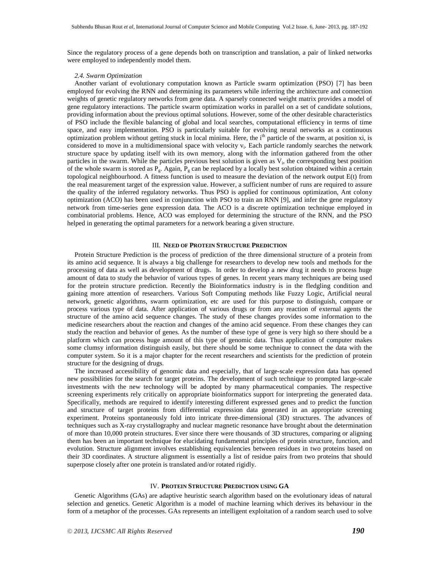Since the regulatory process of a gene depends both on transcription and translation, a pair of linked networks were employed to independently model them.

#### *2.4. Swarm Optimization*

Another variant of evolutionary computation known as Particle swarm optimization (PSO) [7] has been employed for evolving the RNN and determining its parameters while inferring the architecture and connection weights of genetic regulatory networks from gene data. A sparsely connected weight matrix provides a model of gene regulatory interactions. The particle swarm optimization works in parallel on a set of candidate solutions, providing information about the previous optimal solutions. However, some of the other desirable characteristics of PSO include the flexible balancing of global and local searches, computational efficiency in terms of time space, and easy implementation. PSO is particularly suitable for evolving neural networks as a continuous optimization problem without getting stuck in local minima. Here, the i<sup>th</sup> particle of the swarm, at position xi, is considered to move in a multidimensional space with velocity  $v_i$ . Each particle randomly searches the network structure space by updating itself with its own memory, along with the information gathered from the other particles in the swarm. While the particles previous best solution is given as  $V_i$ , the corresponding best position of the whole swarm is stored as  $P_g$ . Again,  $P_g$  can be replaced by a locally best solution obtained within a certain topological neighbourhood. A fitness function is used to measure the deviation of the network output E(t) from the real measurement target of the expression value. However, a sufficient number of runs are required to assure the quality of the inferred regulatory networks. Thus PSO is applied for continuous optimization, Ant colony optimization (ACO) has been used in conjunction with PSO to train an RNN [9], and infer the gene regulatory network from time-series gene expression data. The ACO is a discrete optimization technique employed in combinatorial problems. Hence, ACO was employed for determining the structure of the RNN, and the PSO helped in generating the optimal parameters for a network bearing a given structure.

#### III. **NEED OF PROTEIN STRUCTURE PREDICTION**

Protein Structure Prediction is the process of prediction of the three dimensional structure of a protein from its amino acid sequence. It is always a big challenge for researchers to develop new tools and methods for the processing of data as well as development of drugs. In order to develop a new drug it needs to process huge amount of data to study the behavior of various types of genes. In recent years many techniques are being used for the protein structure prediction. Recently the Bioinformatics industry is in the fledgling condition and gaining more attention of researchers. Various Soft Computing methods like Fuzzy Logic, Artificial neural network, genetic algorithms, swarm optimization, etc are used for this purpose to distinguish, compare or process various type of data. After application of various drugs or from any reaction of external agents the structure of the amino acid sequence changes. The study of these changes provides some information to the medicine researchers about the reaction and changes of the amino acid sequence. From these changes they can study the reaction and behavior of genes. As the number of these type of gene is very high so there should be a platform which can process huge amount of this type of genomic data. Thus application of computer makes some clumsy information distinguish easily, but there should be some technique to connect the data with the computer system. So it is a major chapter for the recent researchers and scientists for the prediction of protein structure for the designing of drugs.

The increased accessibility of genomic data and especially, that of large-scale expression data has opened new possibilities for the search for target proteins. The development of such technique to prompted large-scale investments with the new technology will be adopted by many pharmaceutical companies. The respective screening experiments rely critically on appropriate bioinformatics support for interpreting the generated data. Specifically, methods are required to identify interesting different expressed genes and to predict the function and structure of target proteins from differential expression data generated in an appropriate screening experiment. Proteins spontaneously fold into intricate three-dimensional (3D) structures. The advances of techniques such as X-ray crystallography and nuclear magnetic resonance have brought about the determination of more than 10,000 protein structures. Ever since there were thousands of 3D structures, comparing or aligning them has been an important technique for elucidating fundamental principles of protein structure, function, and evolution. Structure alignment involves establishing equivalencies between residues in two proteins based on their 3D coordinates. A structure alignment is essentially a list of residue pairs from two proteins that should superpose closely after one protein is translated and/or rotated rigidly.

#### IV. **PROTEIN STRUCTURE PREDICTION USING GA**

Genetic Algorithms (GAs) are adaptive heuristic search algorithm based on the evolutionary ideas of natural selection and genetics. Genetic Algorithm is a model of machine learning which derives its behaviour in the form of a metaphor of the processes. GAs represents an intelligent exploitation of a random search used to solve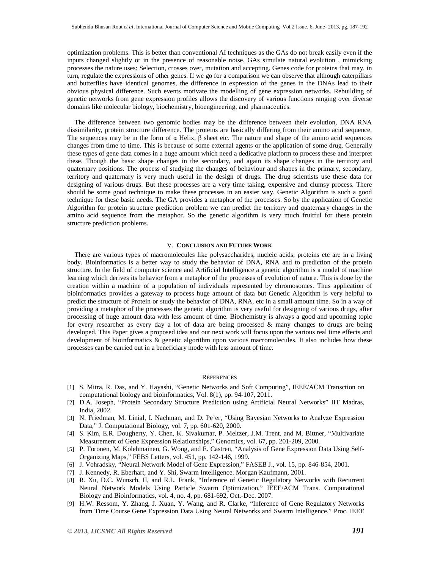optimization problems. This is better than conventional AI techniques as the GAs do not break easily even if the inputs changed slightly or in the presence of reasonable noise. GAs simulate natural evolution , mimicking processes the nature uses: Selection, crosses over, mutation and accepting. Genes code for proteins that may, in turn, regulate the expressions of other genes. If we go for a comparison we can observe that although caterpillars and butterflies have identical genomes, the difference in expression of the genes in the DNAs lead to their obvious physical difference. Such events motivate the modelling of gene expression networks. Rebuilding of genetic networks from gene expression profiles allows the discovery of various functions ranging over diverse domains like molecular biology, biochemistry, bioengineering, and pharmaceutics.

The difference between two genomic bodies may be the difference between their evolution, DNA RNA dissimilarity, protein structure difference. The proteins are basically differing from their amino acid sequence. The sequences may be in the form of  $\alpha$  Helix,  $\beta$  sheet etc. The nature and shape of the amino acid sequences changes from time to time. This is because of some external agents or the application of some drug. Generally these types of gene data comes in a huge amount which need a dedicative platform to process these and interpret these. Though the basic shape changes in the secondary, and again its shape changes in the territory and quaternary positions. The process of studying the changes of behaviour and shapes in the primary, secondary, territory and quaternary is very much useful in the design of drugs. The drug scientists use these data for designing of various drugs. But these processes are a very time taking, expensive and clumsy process. There should be some good technique to make these processes in an easier way. Genetic Algorithm is such a good technique for these basic needs. The GA provides a metaphor of the processes. So by the application of Genetic Algorithm for protein structure prediction problem we can predict the territory and quaternary changes in the amino acid sequence from the metaphor. So the genetic algorithm is very much fruitful for these protein structure prediction problems.

## V. **CONCLUSION AND FUTURE WORK**

There are various types of macromolecules like polysaccharides, nucleic acids; proteins etc are in a living body. Bioinformatics is a better way to study the behavior of DNA, RNA and to prediction of the protein structure. In the field of computer science and Artificial Intelligence a genetic algorithm is a model of machine learning which derives its behavior from a metaphor of the processes of evolution of nature. This is done by the creation within a machine of a population of individuals represented by chromosomes. Thus application of bioinformatics provides a gateway to process huge amount of data but Genetic Algorithm is very helpful to predict the structure of Protein or study the behavior of DNA, RNA, etc in a small amount time. So in a way of providing a metaphor of the processes the genetic algorithm is very useful for designing of various drugs, after processing of huge amount data with less amount of time. Biochemistry is always a good and upcoming topic for every researcher as every day a lot of data are being processed & many changes to drugs are being developed. This Paper gives a proposed idea and our next work will focus upon the various real time effects and development of bioinformatics & genetic algorithm upon various macromolecules. It also includes how these processes can be carried out in a beneficiary mode with less amount of time.

#### **REFERENCES**

- [1] S. Mitra, R. Das, and Y. Hayashi, "Genetic Networks and Soft Computing", IEEE/ACM Transction on computational biology and bioinformatics, Vol. 8(1), pp. 94-107, 2011.
- [2] D.A. Joseph, "Protein Secondary Structure Prediction using Artificial Neural Networks" IIT Madras, India, 2002.
- [3] N. Friedman, M. Linial, I. Nachman, and D. Pe'er, "Using Bayesian Networks to Analyze Expression Data," J. Computational Biology, vol. 7, pp. 601-620, 2000.
- [4] S. Kim, E.R. Dougherty, Y. Chen, K. Sivakumar, P. Meltzer, J.M. Trent, and M. Bittner, "Multivariate Measurement of Gene Expression Relationships," Genomics, vol. 67, pp. 201-209, 2000.
- [5] P. Toronen, M. Kolehmainen, G. Wong, and E. Castren, "Analysis of Gene Expression Data Using Self-Organizing Maps," FEBS Letters, vol. 451, pp. 142-146, 1999.
- [6] J. Vohradsky, "Neural Network Model of Gene Expression," FASEB J., vol. 15, pp. 846-854, 2001.
- [7] J. Kennedy, R. Eberhart, and Y. Shi, Swarm Intelligence. Morgan Kaufmann, 2001.
- [8] R. Xu, D.C. Wunsch, II, and R.L. Frank, "Inference of Genetic Regulatory Networks with Recurrent Neural Network Models Using Particle Swarm Optimization," IEEE/ACM Trans. Computational Biology and Bioinformatics, vol. 4, no. 4, pp. 681-692, Oct.-Dec. 2007.
- [9] H.W. Ressom, Y. Zhang, J. Xuan, Y. Wang, and R. Clarke, "Inference of Gene Regulatory Networks from Time Course Gene Expression Data Using Neural Networks and Swarm Intelligence," Proc. IEEE